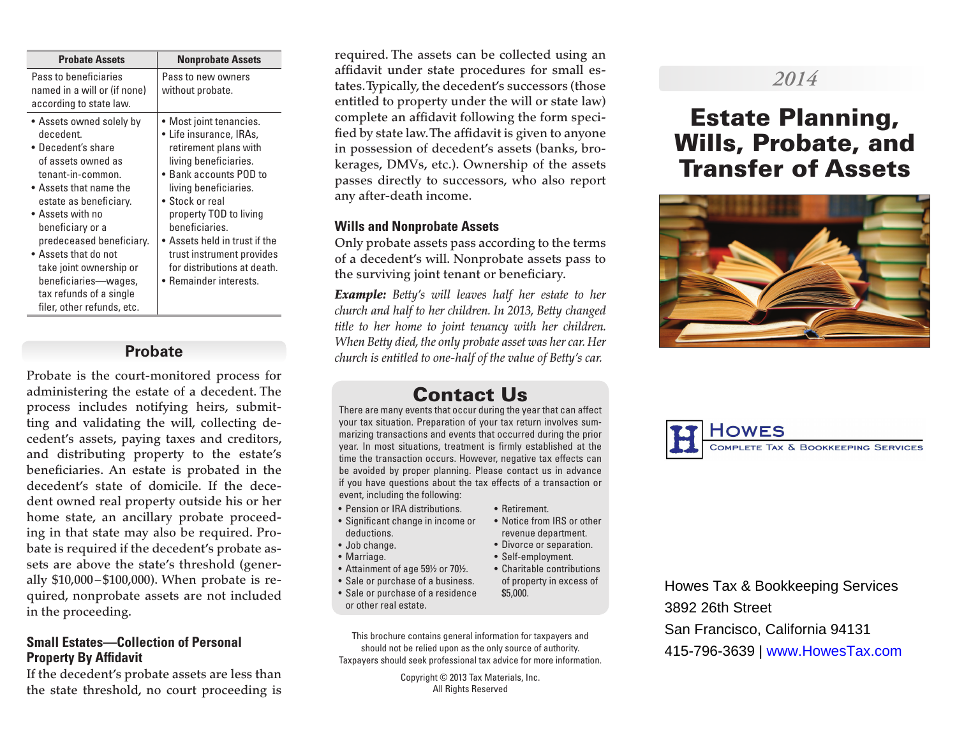| <b>Probate Assets</b>                                                                                                                                                                                                                                                                                                                                              | <b>Nonprobate Assets</b>                                                                                                                                                                                                                                                                                                                    |
|--------------------------------------------------------------------------------------------------------------------------------------------------------------------------------------------------------------------------------------------------------------------------------------------------------------------------------------------------------------------|---------------------------------------------------------------------------------------------------------------------------------------------------------------------------------------------------------------------------------------------------------------------------------------------------------------------------------------------|
| Pass to beneficiaries<br>named in a will or (if none)<br>according to state law.                                                                                                                                                                                                                                                                                   | Pass to new owners<br>without probate.                                                                                                                                                                                                                                                                                                      |
| • Assets owned solely by<br>decedent.<br>• Decedent's share<br>of assets owned as<br>tenant-in-common.<br>• Assets that name the<br>estate as beneficiary.<br>• Assets with no<br>beneficiary or a<br>predeceased beneficiary.<br>• Assets that do not<br>take joint ownership or<br>beneficiaries—wages,<br>tax refunds of a single<br>filer, other refunds, etc. | • Most joint tenancies.<br>• Life insurance, IRAs,<br>retirement plans with<br>living beneficiaries.<br>• Bank accounts POD to<br>living beneficiaries.<br>• Stock or real<br>property TOD to living<br>beneficiaries.<br>Assets held in trust if the<br>trust instrument provides<br>for distributions at death.<br>• Remainder interests. |

### **Probate**

Probate is the court-monitored process for administering the estate of a decedent. The process includes notifying heirs, submitting and validating the will, collecting decedent's assets, paying taxes and creditors, and distributing property to the estate's beneficiaries. An estate is probated in the decedent's state of domicile. If the decedent owned real property outside his or her home state, an ancillary probate proceeding in that state may also be required. Probate is required if the decedent's probate assets are above the state's threshold (generally \$10,000 –\$100,000). When probate is required, nonprobate assets are not included in the proceeding.

### **Small Estates—Collection of Personal Property By Affidavit**

If the decedent's probate assets are less than the state threshold, no court proceeding is

required. The assets can be collected using an affidavit under state procedures for small estates. Typically, the decedent's successors (those entitled to property under the will or state law) complete an affidavit following the form specified by state law. The affidavit is given to anyone in possession of decedent's assets (banks, brokerages, DMVs, etc.). Ownership of the assets passes directly to successors, who also report any after-death income.

### **Wills and Nonprobate Assets**

Only probate assets pass according to the terms of a decedent's will. Nonprobate assets pass to the surviving joint tenant or beneficiary.

*Example: Betty's will leaves half her estate to her church and half to her children. In 2013, Betty changed title to her home to joint tenancy with her children. When Betty died, the only probate asset was her car. Her church is entitled to one-half of the value of Betty's car.*

## Contact Us

There are many events that occur during the year that can affect your tax situation. Preparation of your tax return involves summarizing transactions and events that occurred during the prior year. In most situations, treatment is firmly established at the time the transaction occurs. However, negative tax effects can be avoided by proper planning. Please contact us in advance if you have questions about the tax effects of a transaction or event, including the following:

- Pension or IRA distributions.
- Significant change in income or deductions.
- Job change.
- Marriage.
- Attainment of age 59½ or 70½.
- Sale or purchase of a business.
- Sale or purchase of a residence or other real estate.

This brochure contains general information for taxpayers and should not be relied upon as the only source of authority. Taxpayers should seek professional tax advice for more information.

> Copyright © 2013 Tax Materials, Inc. All Rights Reserved

#### • Retirement.

- Notice from IRS or other revenue department.
- Divorce or separation.
- Self-employment.
- Charitable contributions of property in excess of \$5,000.

Howes Tax & Bookkeeping Services 3892 26th Street San Francisco, California 94131 415-796-3639 | www.HowesTax.com

# *2014*

# Estate Planning, Wills, Probate, and Transfer of Assets